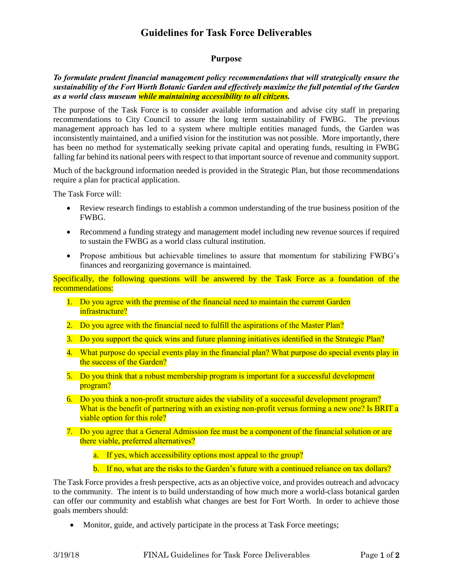# **Guidelines for Task Force Deliverables**

### **Purpose**

### *To formulate prudent financial management policy recommendations that will strategically ensure the sustainability of the Fort Worth Botanic Garden and effectively maximize the full potential of the Garden as a world class museum while maintaining accessibility to all citizens.*

The purpose of the Task Force is to consider available information and advise city staff in preparing recommendations to City Council to assure the long term sustainability of FWBG. The previous management approach has led to a system where multiple entities managed funds, the Garden was inconsistently maintained, and a unified vision for the institution was not possible. More importantly, there has been no method for systematically seeking private capital and operating funds, resulting in FWBG falling far behind its national peers with respect to that important source of revenue and community support.

Much of the background information needed is provided in the Strategic Plan, but those recommendations require a plan for practical application.

The Task Force will:

- Review research findings to establish a common understanding of the true business position of the FWBG.
- Recommend a funding strategy and management model including new revenue sources if required to sustain the FWBG as a world class cultural institution.
- Propose ambitious but achievable timelines to assure that momentum for stabilizing FWBG's finances and reorganizing governance is maintained.

Specifically, the following questions will be answered by the Task Force as a foundation of the recommendations:

- 1. Do you agree with the premise of the financial need to maintain the current Garden infrastructure?
- 2. Do you agree with the financial need to fulfill the aspirations of the Master Plan?
- 3. Do you support the quick wins and future planning initiatives identified in the Strategic Plan?
- 4. What purpose do special events play in the financial plan? What purpose do special events play in the success of the Garden?
- 5. Do you think that a robust membership program is important for a successful development program?
- 6. Do you think a non-profit structure aides the viability of a successful development program? What is the benefit of partnering with an existing non-profit versus forming a new one? Is BRIT a viable option for this role?
- 7. Do you agree that a General Admission fee must be a component of the financial solution or are there viable, preferred alternatives?
	- a. If yes, which accessibility options most appeal to the group?
	- b. If no, what are the risks to the Garden's future with a continued reliance on tax dollars?

The Task Force provides a fresh perspective, acts as an objective voice, and provides outreach and advocacy to the community. The intent is to build understanding of how much more a world-class botanical garden can offer our community and establish what changes are best for Fort Worth. In order to achieve those goals members should:

• Monitor, guide, and actively participate in the process at Task Force meetings;